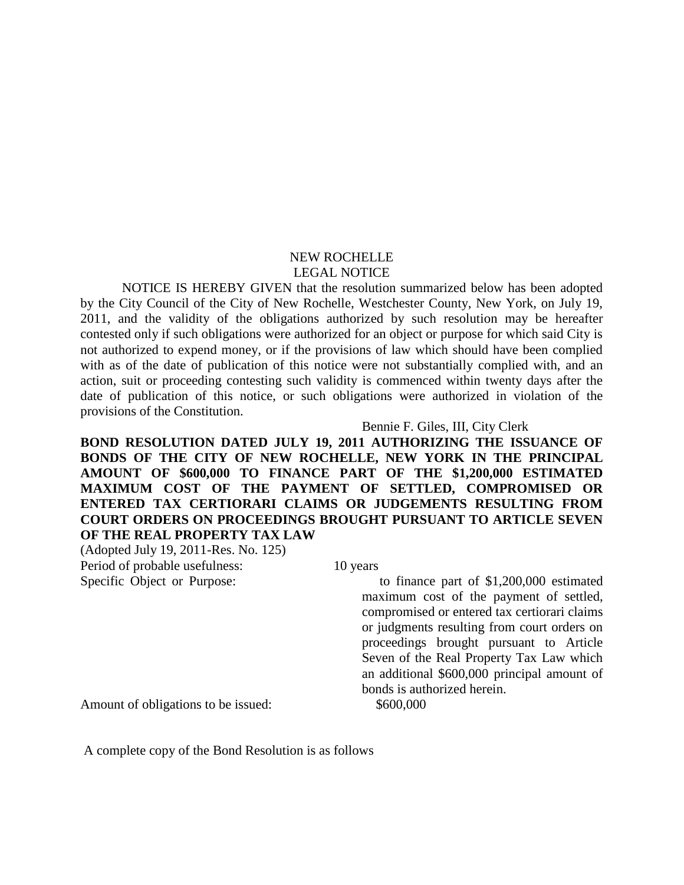## NEW ROCHELLE LEGAL NOTICE

 NOTICE IS HEREBY GIVEN that the resolution summarized below has been adopted by the City Council of the City of New Rochelle, Westchester County, New York, on July 19, 2011, and the validity of the obligations authorized by such resolution may be hereafter contested only if such obligations were authorized for an object or purpose for which said City is not authorized to expend money, or if the provisions of law which should have been complied with as of the date of publication of this notice were not substantially complied with, and an action, suit or proceeding contesting such validity is commenced within twenty days after the date of publication of this notice, or such obligations were authorized in violation of the provisions of the Constitution.

## Bennie F. Giles, III, City Clerk

**BOND RESOLUTION DATED JULY 19, 2011 AUTHORIZING THE ISSUANCE OF BONDS OF THE CITY OF NEW ROCHELLE, NEW YORK IN THE PRINCIPAL AMOUNT OF \$600,000 TO FINANCE PART OF THE \$1,200,000 ESTIMATED MAXIMUM COST OF THE PAYMENT OF SETTLED, COMPROMISED OR ENTERED TAX CERTIORARI CLAIMS OR JUDGEMENTS RESULTING FROM COURT ORDERS ON PROCEEDINGS BROUGHT PURSUANT TO ARTICLE SEVEN OF THE REAL PROPERTY TAX LAW**

(Adopted July 19, 2011-Res. No. 125) Period of probable usefulness: 10 years

Specific Object or Purpose: to finance part of \$1,200,000 estimated maximum cost of the payment of settled, compromised or entered tax certiorari claims or judgments resulting from court orders on proceedings brought pursuant to Article Seven of the Real Property Tax Law which an additional \$600,000 principal amount of bonds is authorized herein.

Amount of obligations to be issued: \$600,000

A complete copy of the Bond Resolution is as follows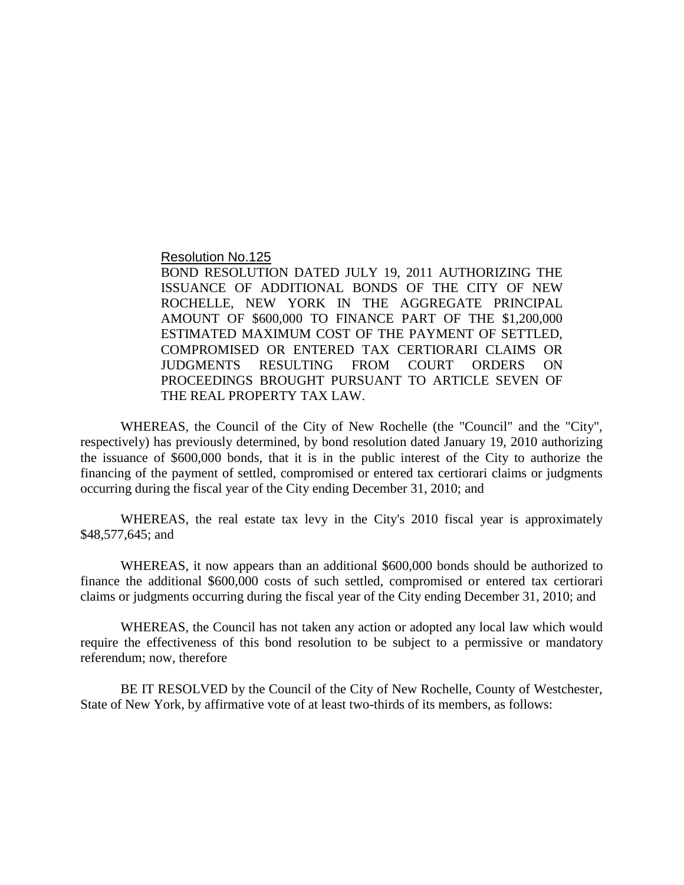Resolution No.125

BOND RESOLUTION DATED JULY 19, 2011 AUTHORIZING THE ISSUANCE OF ADDITIONAL BONDS OF THE CITY OF NEW ROCHELLE, NEW YORK IN THE AGGREGATE PRINCIPAL AMOUNT OF \$600,000 TO FINANCE PART OF THE \$1,200,000 ESTIMATED MAXIMUM COST OF THE PAYMENT OF SETTLED, COMPROMISED OR ENTERED TAX CERTIORARI CLAIMS OR JUDGMENTS RESULTING FROM COURT ORDERS ON PROCEEDINGS BROUGHT PURSUANT TO ARTICLE SEVEN OF THE REAL PROPERTY TAX LAW.

WHEREAS, the Council of the City of New Rochelle (the "Council" and the "City", respectively) has previously determined, by bond resolution dated January 19, 2010 authorizing the issuance of \$600,000 bonds, that it is in the public interest of the City to authorize the financing of the payment of settled, compromised or entered tax certiorari claims or judgments occurring during the fiscal year of the City ending December 31, 2010; and

WHEREAS, the real estate tax levy in the City's 2010 fiscal year is approximately \$48,577,645; and

WHEREAS, it now appears than an additional \$600,000 bonds should be authorized to finance the additional \$600,000 costs of such settled, compromised or entered tax certiorari claims or judgments occurring during the fiscal year of the City ending December 31, 2010; and

WHEREAS, the Council has not taken any action or adopted any local law which would require the effectiveness of this bond resolution to be subject to a permissive or mandatory referendum; now, therefore

BE IT RESOLVED by the Council of the City of New Rochelle, County of Westchester, State of New York, by affirmative vote of at least two-thirds of its members, as follows: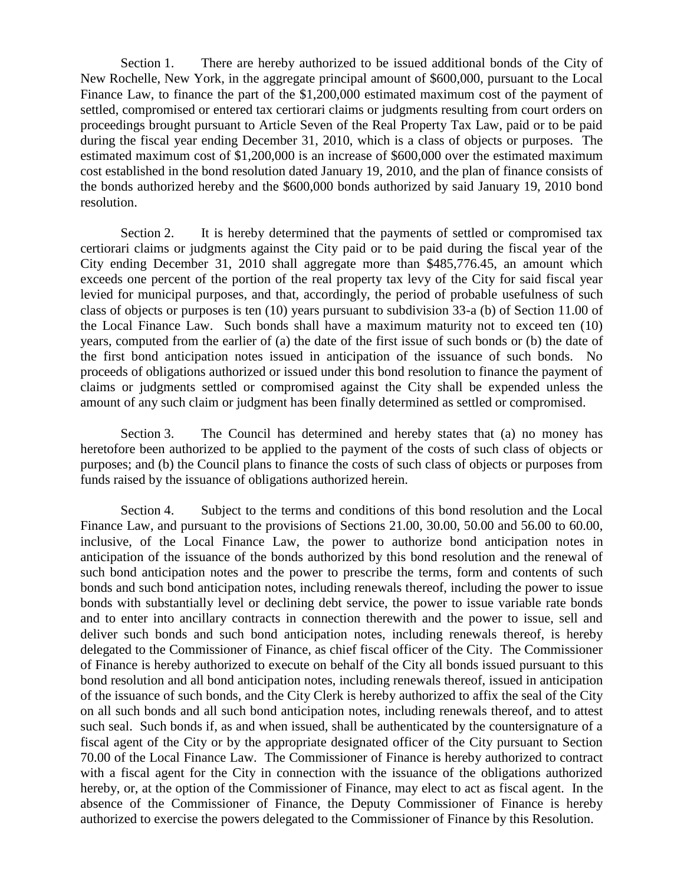Section 1. There are hereby authorized to be issued additional bonds of the City of New Rochelle, New York, in the aggregate principal amount of \$600,000, pursuant to the Local Finance Law, to finance the part of the \$1,200,000 estimated maximum cost of the payment of settled, compromised or entered tax certiorari claims or judgments resulting from court orders on proceedings brought pursuant to Article Seven of the Real Property Tax Law, paid or to be paid during the fiscal year ending December 31, 2010, which is a class of objects or purposes. The estimated maximum cost of \$1,200,000 is an increase of \$600,000 over the estimated maximum cost established in the bond resolution dated January 19, 2010, and the plan of finance consists of the bonds authorized hereby and the \$600,000 bonds authorized by said January 19, 2010 bond resolution.

Section 2. It is hereby determined that the payments of settled or compromised tax certiorari claims or judgments against the City paid or to be paid during the fiscal year of the City ending December 31, 2010 shall aggregate more than \$485,776.45, an amount which exceeds one percent of the portion of the real property tax levy of the City for said fiscal year levied for municipal purposes, and that, accordingly, the period of probable usefulness of such class of objects or purposes is ten (10) years pursuant to subdivision 33-a (b) of Section 11.00 of the Local Finance Law. Such bonds shall have a maximum maturity not to exceed ten (10) years, computed from the earlier of (a) the date of the first issue of such bonds or (b) the date of the first bond anticipation notes issued in anticipation of the issuance of such bonds. No proceeds of obligations authorized or issued under this bond resolution to finance the payment of claims or judgments settled or compromised against the City shall be expended unless the amount of any such claim or judgment has been finally determined as settled or compromised.

Section 3. The Council has determined and hereby states that (a) no money has heretofore been authorized to be applied to the payment of the costs of such class of objects or purposes; and (b) the Council plans to finance the costs of such class of objects or purposes from funds raised by the issuance of obligations authorized herein.

Section 4. Subject to the terms and conditions of this bond resolution and the Local Finance Law, and pursuant to the provisions of Sections 21.00, 30.00, 50.00 and 56.00 to 60.00, inclusive, of the Local Finance Law, the power to authorize bond anticipation notes in anticipation of the issuance of the bonds authorized by this bond resolution and the renewal of such bond anticipation notes and the power to prescribe the terms, form and contents of such bonds and such bond anticipation notes, including renewals thereof, including the power to issue bonds with substantially level or declining debt service, the power to issue variable rate bonds and to enter into ancillary contracts in connection therewith and the power to issue, sell and deliver such bonds and such bond anticipation notes, including renewals thereof, is hereby delegated to the Commissioner of Finance, as chief fiscal officer of the City. The Commissioner of Finance is hereby authorized to execute on behalf of the City all bonds issued pursuant to this bond resolution and all bond anticipation notes, including renewals thereof, issued in anticipation of the issuance of such bonds, and the City Clerk is hereby authorized to affix the seal of the City on all such bonds and all such bond anticipation notes, including renewals thereof, and to attest such seal. Such bonds if, as and when issued, shall be authenticated by the countersignature of a fiscal agent of the City or by the appropriate designated officer of the City pursuant to Section 70.00 of the Local Finance Law. The Commissioner of Finance is hereby authorized to contract with a fiscal agent for the City in connection with the issuance of the obligations authorized hereby, or, at the option of the Commissioner of Finance, may elect to act as fiscal agent. In the absence of the Commissioner of Finance, the Deputy Commissioner of Finance is hereby authorized to exercise the powers delegated to the Commissioner of Finance by this Resolution.